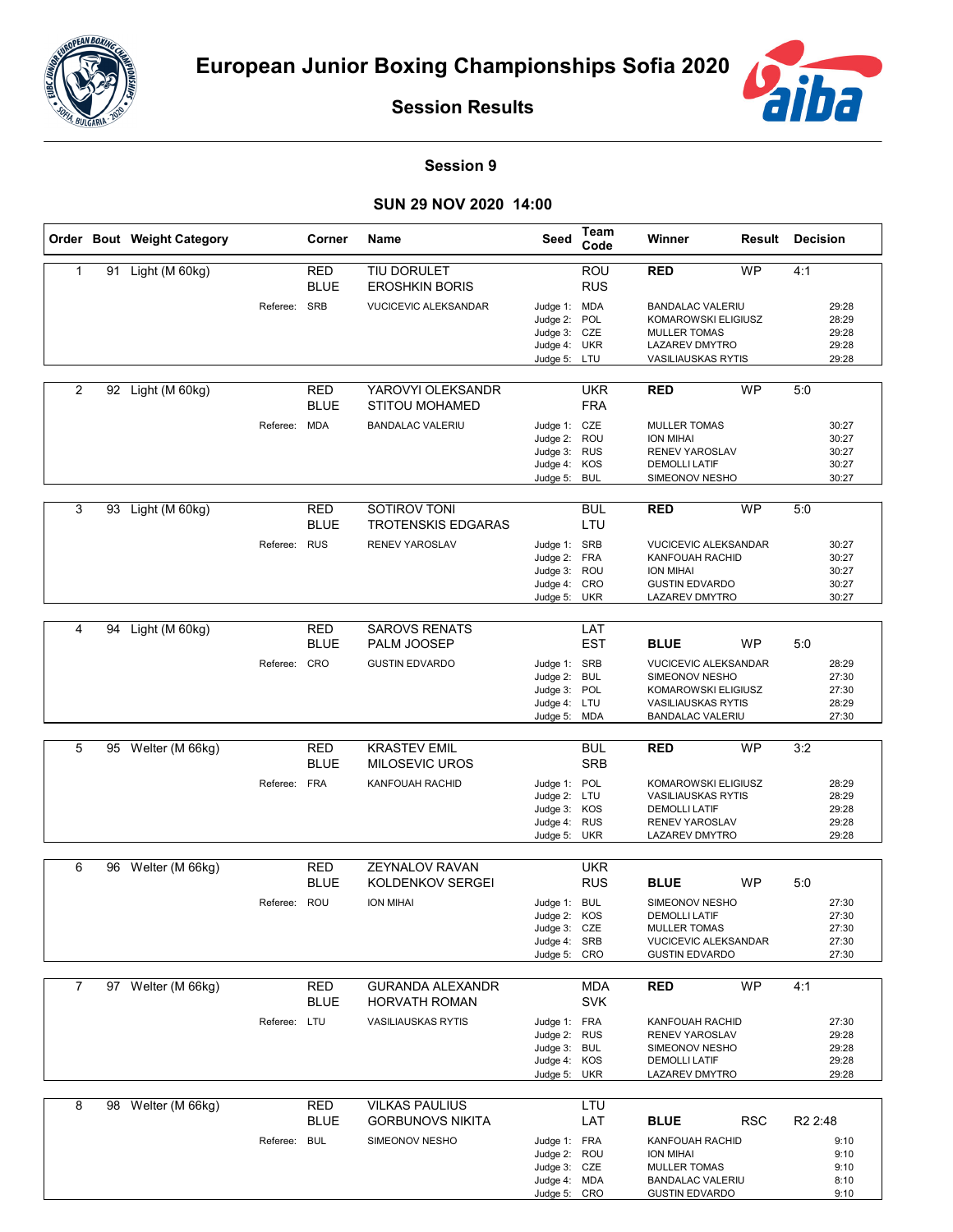



**Session Results**

## **Session 9**

## **SUN 29 NOV 2020 14:00**

|                |    | Order Bout Weight Category |              | Corner                    | Name                                         | Seed                                         | Team<br>Code             | Winner                                                                | Result     | <b>Decision</b>     |                         |
|----------------|----|----------------------------|--------------|---------------------------|----------------------------------------------|----------------------------------------------|--------------------------|-----------------------------------------------------------------------|------------|---------------------|-------------------------|
| $\mathbf{1}$   |    | 91 Light (M 60kg)          |              | RED<br><b>BLUE</b>        | TIU DORULET<br><b>EROSHKIN BORIS</b>         |                                              | ROU<br><b>RUS</b>        | <b>RED</b>                                                            | <b>WP</b>  | 4:1                 |                         |
|                |    |                            | Referee: SRB |                           | <b>VUCICEVIC ALEKSANDAR</b>                  | Judge 1: MDA<br>Judge 2:                     | POL                      | <b>BANDALAC VALERIU</b><br>KOMAROWSKI ELIGIUSZ<br><b>MULLER TOMAS</b> |            |                     | 29:28<br>28:29<br>29:28 |
|                |    |                            |              |                           |                                              | Judge 3: CZE<br>Judge 4: UKR<br>Judge 5: LTU |                          | <b>LAZAREV DMYTRO</b><br><b>VASILIAUSKAS RYTIS</b>                    |            |                     | 29:28<br>29:28          |
|                |    |                            |              |                           |                                              |                                              |                          |                                                                       |            |                     |                         |
| $\overline{2}$ |    | 92 Light (M 60kg)          |              | RED<br><b>BLUE</b>        | YAROVYI OLEKSANDR<br><b>STITOU MOHAMED</b>   |                                              | <b>UKR</b><br><b>FRA</b> | <b>RED</b>                                                            | <b>WP</b>  | 5:0                 |                         |
|                |    |                            | Referee:     | MDA                       | <b>BANDALAC VALERIU</b>                      | Judge 1: CZE<br>Judge 2: ROU                 |                          | <b>MULLER TOMAS</b><br><b>ION MIHAI</b>                               |            |                     | 30:27<br>30:27          |
|                |    |                            |              |                           |                                              | Judge 3: RUS                                 |                          | <b>RENEV YAROSLAV</b>                                                 |            |                     | 30:27                   |
|                |    |                            |              |                           |                                              | Judge 4: KOS<br>Judge 5:                     | <b>BUL</b>               | <b>DEMOLLI LATIF</b><br>SIMEONOV NESHO                                |            |                     | 30:27<br>30:27          |
| 3              |    | 93 Light (M 60kg)          |              | RED<br><b>BLUE</b>        | SOTIROV TONI<br><b>TROTENSKIS EDGARAS</b>    |                                              | <b>BUL</b><br>LTU        | <b>RED</b>                                                            | <b>WP</b>  | 5:0                 |                         |
|                |    |                            | Referee: RUS |                           | RENEV YAROSLAV                               | Judge 1: SRB                                 |                          | <b>VUCICEVIC ALEKSANDAR</b>                                           |            |                     | 30:27                   |
|                |    |                            |              |                           |                                              | Judge 2:<br>Judge 3:                         | <b>FRA</b><br><b>ROU</b> | KANFOUAH RACHID<br><b>ION MIHAI</b>                                   |            |                     | 30:27<br>30:27          |
|                |    |                            |              |                           |                                              | Judge 4: CRO                                 |                          | <b>GUSTIN EDVARDO</b>                                                 |            |                     | 30:27                   |
|                |    |                            |              |                           |                                              | Judge 5: UKR                                 |                          | LAZAREV DMYTRO                                                        |            |                     | 30:27                   |
| 4              | 94 | Light (M 60kg)             |              | RED<br><b>BLUE</b>        | <b>SAROVS RENATS</b><br>PALM JOOSEP          |                                              | LAT<br><b>EST</b>        | <b>BLUE</b>                                                           | <b>WP</b>  | 5:0                 |                         |
|                |    |                            | Referee: CRO |                           | <b>GUSTIN EDVARDO</b>                        | Judge 1: SRB                                 |                          | <b>VUCICEVIC ALEKSANDAR</b>                                           |            |                     | 28:29                   |
|                |    |                            |              |                           |                                              | Judge 2: BUL<br>Judge 3: POL                 |                          | SIMEONOV NESHO<br>KOMAROWSKI ELIGIUSZ                                 |            |                     | 27:30<br>27:30          |
|                |    |                            |              |                           |                                              | Judge 4: LTU                                 |                          | <b>VASILIAUSKAS RYTIS</b>                                             |            |                     | 28:29                   |
|                |    |                            |              |                           |                                              | Judge 5: MDA                                 |                          | <b>BANDALAC VALERIU</b>                                               |            |                     | 27:30                   |
| 5              |    | 95 Welter (M 66kg)         |              | <b>RED</b><br><b>BLUE</b> | <b>KRASTEV EMIL</b><br><b>MILOSEVIC UROS</b> |                                              | <b>BUL</b><br><b>SRB</b> | <b>RED</b>                                                            | <b>WP</b>  | 3:2                 |                         |
|                |    |                            | Referee: FRA |                           | KANFOUAH RACHID                              | Judge 1: POL                                 |                          | KOMAROWSKI ELIGIUSZ                                                   |            |                     | 28:29                   |
|                |    |                            |              |                           |                                              | Judge 2: LTU<br>Judge 3: KOS                 |                          | <b>VASILIAUSKAS RYTIS</b><br><b>DEMOLLI LATIF</b>                     |            |                     | 28:29<br>29:28          |
|                |    |                            |              |                           |                                              | Judge 4:                                     | <b>RUS</b>               | <b>RENEV YAROSLAV</b>                                                 |            |                     | 29:28                   |
|                |    |                            |              |                           |                                              | Judge 5: UKR                                 |                          | LAZAREV DMYTRO                                                        |            |                     | 29:28                   |
| 6              | 96 | Welter (M 66kg)            |              | <b>RED</b>                | <b>ZEYNALOV RAVAN</b>                        |                                              | <b>UKR</b>               |                                                                       |            |                     |                         |
|                |    |                            |              | <b>BLUE</b>               | KOLDENKOV SERGEI                             |                                              | <b>RUS</b>               | <b>BLUE</b>                                                           | <b>WP</b>  | 5:0                 |                         |
|                |    |                            | Referee: ROU |                           | <b>ION MIHAI</b>                             | Judge 1: BUL                                 |                          | SIMEONOV NESHO                                                        |            |                     | 27:30                   |
|                |    |                            |              |                           |                                              | Judge 2: KOS<br>Judge 3: CZE                 |                          | <b>DEMOLLI LATIF</b><br><b>MULLER TOMAS</b>                           |            |                     | 27:30<br>27:30          |
|                |    |                            |              |                           |                                              | Judge 4: SRB                                 |                          | <b>VUCICEVIC ALEKSANDAR</b>                                           |            |                     | 27:30                   |
|                |    |                            |              |                           |                                              | Judge 5: CRO                                 |                          | <b>GUSTIN EDVARDO</b>                                                 |            |                     | 27:30                   |
| 7              |    | 97 Welter (M 66kg)         |              | RED                       | <b>GURANDA ALEXANDR</b>                      |                                              | <b>MDA</b>               | <b>RED</b>                                                            | <b>WP</b>  | 4:1                 |                         |
|                |    |                            |              | <b>BLUE</b>               | <b>HORVATH ROMAN</b>                         |                                              | <b>SVK</b>               |                                                                       |            |                     |                         |
|                |    |                            | Referee: LTU |                           | <b>VASILIAUSKAS RYTIS</b>                    | Judge 1: FRA<br>Judge 2: RUS                 |                          | KANFOUAH RACHID<br>RENEV YAROSLAV                                     |            |                     | 27:30<br>29:28          |
|                |    |                            |              |                           |                                              | Judge 3: BUL                                 |                          | SIMEONOV NESHO                                                        |            |                     | 29:28                   |
|                |    |                            |              |                           |                                              | Judge 4: KOS<br>Judge 5: UKR                 |                          | <b>DEMOLLI LATIF</b><br><b>LAZAREV DMYTRO</b>                         |            |                     | 29:28<br>29:28          |
|                |    |                            |              |                           |                                              |                                              |                          |                                                                       |            |                     |                         |
| 8              |    | 98 Welter (M 66kg)         |              | RED                       | <b>VILKAS PAULIUS</b>                        |                                              | LTU                      |                                                                       |            |                     |                         |
|                |    |                            |              | <b>BLUE</b>               | <b>GORBUNOVS NIKITA</b>                      |                                              | LAT                      | <b>BLUE</b>                                                           | <b>RSC</b> | R <sub>2</sub> 2:48 |                         |
|                |    |                            | Referee: BUL |                           | SIMEONOV NESHO                               | Judge 1: FRA<br>Judge 2: ROU                 |                          | KANFOUAH RACHID<br>ION MIHAI                                          |            |                     | 9:10<br>9:10            |
|                |    |                            |              |                           |                                              | Judge 3: CZE                                 |                          | <b>MULLER TOMAS</b>                                                   |            |                     | 9:10                    |
|                |    |                            |              |                           |                                              | Judge 4: MDA<br>Judge 5: CRO                 |                          | <b>BANDALAC VALERIU</b><br><b>GUSTIN EDVARDO</b>                      |            |                     | 8:10<br>9:10            |